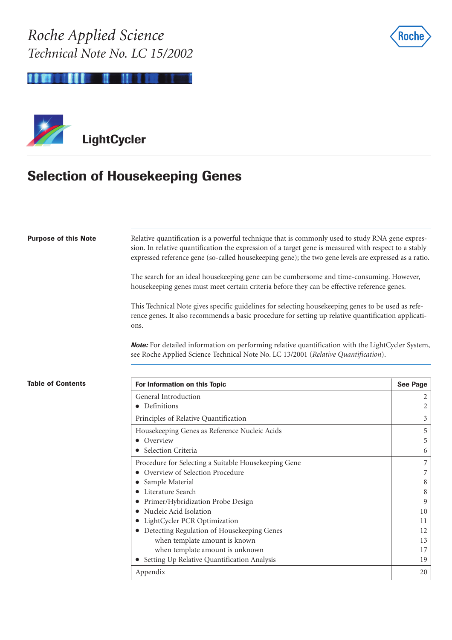



## **Selection of Housekeeping Genes**

| <b>Purpose of this Note</b> | Relative quantification is a powerful technique that is commonly used to study RNA gene expres-<br>sion. In relative quantification the expression of a target gene is measured with respect to a stably<br>expressed reference gene (so-called housekeeping gene); the two gene levels are expressed as a ratio. |                 |
|-----------------------------|-------------------------------------------------------------------------------------------------------------------------------------------------------------------------------------------------------------------------------------------------------------------------------------------------------------------|-----------------|
|                             | The search for an ideal housekeeping gene can be cumbersome and time-consuming. However,<br>housekeeping genes must meet certain criteria before they can be effective reference genes.                                                                                                                           |                 |
|                             | This Technical Note gives specific guidelines for selecting housekeeping genes to be used as refe-<br>rence genes. It also recommends a basic procedure for setting up relative quantification applicati-<br>ons.                                                                                                 |                 |
|                             | <b>Note:</b> For detailed information on performing relative quantification with the LightCycler System,<br>see Roche Applied Science Technical Note No. LC 13/2001 (Relative Quantification).                                                                                                                    |                 |
| <b>Table of Contents</b>    | For Information on this Topic                                                                                                                                                                                                                                                                                     | <b>See Page</b> |
|                             | General Introduction                                                                                                                                                                                                                                                                                              | 2               |
|                             | • Definitions                                                                                                                                                                                                                                                                                                     | 2               |
|                             | Principles of Relative Quantification                                                                                                                                                                                                                                                                             | 3               |
|                             | Housekeeping Genes as Reference Nucleic Acids                                                                                                                                                                                                                                                                     | 5               |
|                             | Overview                                                                                                                                                                                                                                                                                                          | 5               |
|                             | Selection Criteria                                                                                                                                                                                                                                                                                                | 6               |
|                             | Procedure for Selecting a Suitable Housekeeping Gene                                                                                                                                                                                                                                                              | $\overline{7}$  |
|                             | Overview of Selection Procedure                                                                                                                                                                                                                                                                                   | 7               |
|                             | Sample Material<br>$\bullet$                                                                                                                                                                                                                                                                                      | 8               |
|                             | Literature Search                                                                                                                                                                                                                                                                                                 | 8               |
|                             | Primer/Hybridization Probe Design<br>Nucleic Acid Isolation                                                                                                                                                                                                                                                       | 9<br>10         |
|                             | LightCycler PCR Optimization                                                                                                                                                                                                                                                                                      | 11              |
|                             | • Detecting Regulation of Housekeeping Genes                                                                                                                                                                                                                                                                      | 12              |

when template amount is known 13 when template amount is unknown 17 ● Setting Up Relative Quantification Analysis 19 Appendix 20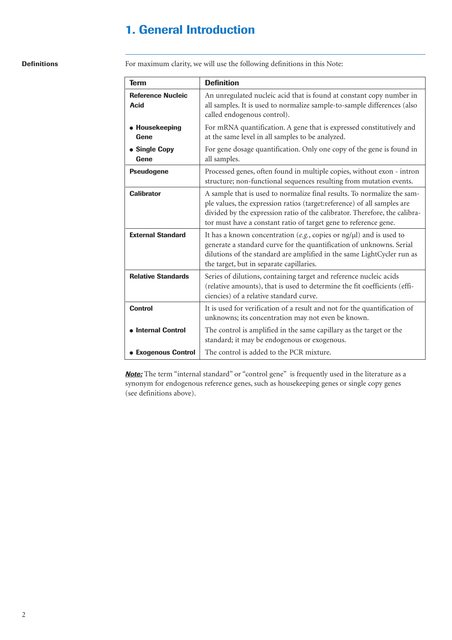## **1. General Introduction**

### **Definitions**

For maximum clarity, we will use the following definitions in this Note:

| <b>Term</b>                             | <b>Definition</b>                                                                                                                                                                                                                                                                                    |
|-----------------------------------------|------------------------------------------------------------------------------------------------------------------------------------------------------------------------------------------------------------------------------------------------------------------------------------------------------|
| <b>Reference Nucleic</b><br><b>Acid</b> | An unregulated nucleic acid that is found at constant copy number in<br>all samples. It is used to normalize sample-to-sample differences (also<br>called endogenous control).                                                                                                                       |
| • Housekeeping<br>Gene                  | For mRNA quantification. A gene that is expressed constitutively and<br>at the same level in all samples to be analyzed.                                                                                                                                                                             |
| • Single Copy<br>Gene                   | For gene dosage quantification. Only one copy of the gene is found in<br>all samples.                                                                                                                                                                                                                |
| <b>Pseudogene</b>                       | Processed genes, often found in multiple copies, without exon - intron<br>structure; non-functional sequences resulting from mutation events.                                                                                                                                                        |
| <b>Calibrator</b>                       | A sample that is used to normalize final results. To normalize the sam-<br>ple values, the expression ratios (target:reference) of all samples are<br>divided by the expression ratio of the calibrator. Therefore, the calibra-<br>tor must have a constant ratio of target gene to reference gene. |
| <b>External Standard</b>                | It has a known concentration (e.g., copies or $\frac{ng}{\mu}$ ) and is used to<br>generate a standard curve for the quantification of unknowns. Serial<br>dilutions of the standard are amplified in the same LightCycler run as<br>the target, but in separate capillaries.                        |
| <b>Relative Standards</b>               | Series of dilutions, containing target and reference nucleic acids<br>(relative amounts), that is used to determine the fit coefficients (effi-<br>ciencies) of a relative standard curve.                                                                                                           |
| <b>Control</b>                          | It is used for verification of a result and not for the quantification of<br>unknowns; its concentration may not even be known.                                                                                                                                                                      |
| • Internal Control                      | The control is amplified in the same capillary as the target or the<br>standard; it may be endogenous or exogenous.                                                                                                                                                                                  |
| <b>• Exogenous Control</b>              | The control is added to the PCR mixture.                                                                                                                                                                                                                                                             |

**Note:** The term "internal standard" or "control gene" is frequently used in the literature as a synonym for endogenous reference genes, such as housekeeping genes or single copy genes (see definitions above).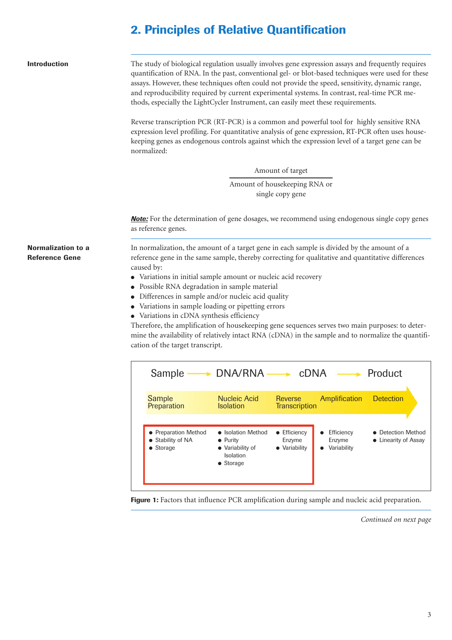## **2. Principles of Relative Quantification**

| <b>Introduction</b>                                | The study of biological regulation usually involves gene expression assays and frequently requires<br>quantification of RNA. In the past, conventional gel- or blot-based techniques were used for these<br>assays. However, these techniques often could not provide the speed, sensitivity, dynamic range,<br>and reproducibility required by current experimental systems. In contrast, real-time PCR me-<br>thods, especially the LightCycler Instrument, can easily meet these requirements. |
|----------------------------------------------------|---------------------------------------------------------------------------------------------------------------------------------------------------------------------------------------------------------------------------------------------------------------------------------------------------------------------------------------------------------------------------------------------------------------------------------------------------------------------------------------------------|
|                                                    | Reverse transcription PCR (RT-PCR) is a common and powerful tool for highly sensitive RNA<br>expression level profiling. For quantitative analysis of gene expression, RT-PCR often uses house-<br>keeping genes as endogenous controls against which the expression level of a target gene can be<br>normalized:                                                                                                                                                                                 |
|                                                    | Amount of target                                                                                                                                                                                                                                                                                                                                                                                                                                                                                  |
|                                                    | Amount of housekeeping RNA or<br>single copy gene                                                                                                                                                                                                                                                                                                                                                                                                                                                 |
|                                                    | <b>Note:</b> For the determination of gene dosages, we recommend using endogenous single copy genes<br>as reference genes.                                                                                                                                                                                                                                                                                                                                                                        |
| <b>Normalization to a</b><br><b>Reference Gene</b> | In normalization, the amount of a target gene in each sample is divided by the amount of a<br>reference gene in the same sample, thereby correcting for qualitative and quantitative differences<br>caused by:<br>• Variations in initial sample amount or nucleic acid recovery<br>• Possible RNA degradation in sample material<br>• Differences in sample and/or nucleic acid quality<br>• Variations in sample loading or pipetting errors<br>• Variations in cDNA synthesis efficiency       |



Figure 1: Factors that influence PCR amplification during sample and nucleic acid preparation.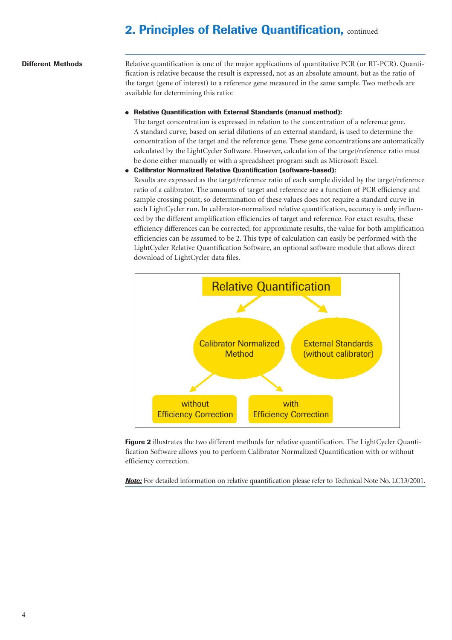## **2. Principles of Relative Quantification, continued**

#### **Different Methods**

Relative quantification is one of the major applications of quantitative PCR (or RT-PCR). Quantification is relative because the result is expressed, not as an absolute amount, but as the ratio of the target (gene of interest) to a reference gene measured in the same sample. Two methods are available for determining this ratio:

**Relative Quantification with External Standards (manual method):** 

The target concentration is expressed in relation to the concentration of a reference gene. A standard curve, based on serial dilutions of an external standard, is used to determine the concentration of the target and the reference gene. These gene concentrations are automatically calculated by the LightCycler Software. However, calculation of the target/reference ratio must be done either manually or with a spreadsheet program such as Microsoft Excel.

● **Calibrator Normalized Relative Quantification (software-based):**

Results are expressed as the target/reference ratio of each sample divided by the target/reference ratio of a calibrator. The amounts of target and reference are a function of PCR efficiency and sample crossing point, so determination of these values does not require a standard curve in each LightCycler run. In calibrator-normalized relative quantification, accuracy is only influenced by the different amplification efficiencies of target and reference. For exact results, these efficiency differences can be corrected; for approximate results, the value for both amplification efficiencies can be assumed to be 2. This type of calculation can easily be performed with the LightCycler Relative Quantification Software, an optional software module that allows direct download of LightCycler data files.



**Figure 2** illustrates the two different methods for relative quantification. The LightCycler Quantification Software allows you to perform Calibrator Normalized Quantification with or without efficiency correction.

*Note:* For detailed information on relative quantification please refer to Technical Note No. LC13/2001.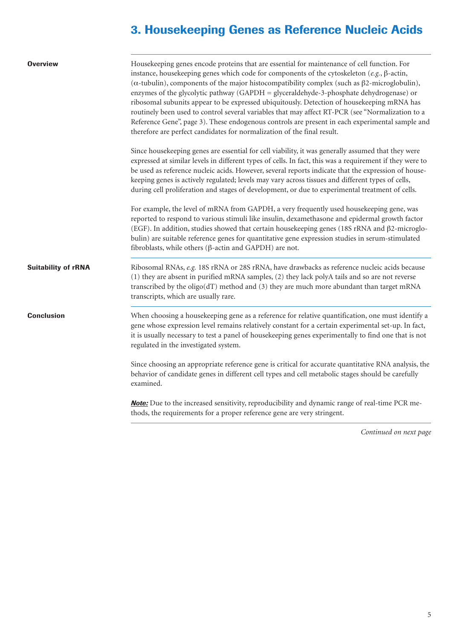## **3. Housekeeping Genes as Reference Nucleic Acids**

| <b>Overview</b>            | Housekeeping genes encode proteins that are essential for maintenance of cell function. For<br>instance, housekeeping genes which code for components of the cytoskeleton (e.g., $\beta$ -actin,<br>( $\alpha$ -tubulin), components of the major histocompatibility complex (such as $\beta$ 2-microglobulin),<br>enzymes of the glycolytic pathway (GAPDH = glyceraldehyde-3-phosphate dehydrogenase) or<br>ribosomal subunits appear to be expressed ubiquitously. Detection of housekeeping mRNA has<br>routinely been used to control several variables that may affect RT-PCR (see "Normalization to a<br>Reference Gene", page 3). These endogenous controls are present in each experimental sample and<br>therefore are perfect candidates for normalization of the final result. |
|----------------------------|--------------------------------------------------------------------------------------------------------------------------------------------------------------------------------------------------------------------------------------------------------------------------------------------------------------------------------------------------------------------------------------------------------------------------------------------------------------------------------------------------------------------------------------------------------------------------------------------------------------------------------------------------------------------------------------------------------------------------------------------------------------------------------------------|
|                            | Since house keeping genes are essential for cell viability, it was generally assumed that they were<br>expressed at similar levels in different types of cells. In fact, this was a requirement if they were to<br>be used as reference nucleic acids. However, several reports indicate that the expression of house-<br>keeping genes is actively regulated; levels may vary across tissues and different types of cells,<br>during cell proliferation and stages of development, or due to experimental treatment of cells.                                                                                                                                                                                                                                                             |
|                            | For example, the level of mRNA from GAPDH, a very frequently used housekeeping gene, was<br>reported to respond to various stimuli like insulin, dexamethasone and epidermal growth factor<br>(EGF). In addition, studies showed that certain housekeeping genes (18S rRNA and $\beta$ 2-microglo-<br>bulin) are suitable reference genes for quantitative gene expression studies in serum-stimulated<br>fibroblasts, while others ( $\beta$ -actin and GAPDH) are not.                                                                                                                                                                                                                                                                                                                   |
| <b>Suitability of rRNA</b> | Ribosomal RNAs, e.g. 18S rRNA or 28S rRNA, have drawbacks as reference nucleic acids because<br>(1) they are absent in purified mRNA samples, (2) they lack polyA tails and so are not reverse<br>transcribed by the oligo( $dT$ ) method and (3) they are much more abundant than target mRNA<br>transcripts, which are usually rare.                                                                                                                                                                                                                                                                                                                                                                                                                                                     |
| <b>Conclusion</b>          | When choosing a housekeeping gene as a reference for relative quantification, one must identify a<br>gene whose expression level remains relatively constant for a certain experimental set-up. In fact,<br>it is usually necessary to test a panel of housekeeping genes experimentally to find one that is not<br>regulated in the investigated system.                                                                                                                                                                                                                                                                                                                                                                                                                                  |
|                            | Since choosing an appropriate reference gene is critical for accurate quantitative RNA analysis, the<br>behavior of candidate genes in different cell types and cell metabolic stages should be carefully<br>examined.                                                                                                                                                                                                                                                                                                                                                                                                                                                                                                                                                                     |
|                            | <b>Note:</b> Due to the increased sensitivity, reproducibility and dynamic range of real-time PCR me-<br>thods, the requirements for a proper reference gene are very stringent.                                                                                                                                                                                                                                                                                                                                                                                                                                                                                                                                                                                                           |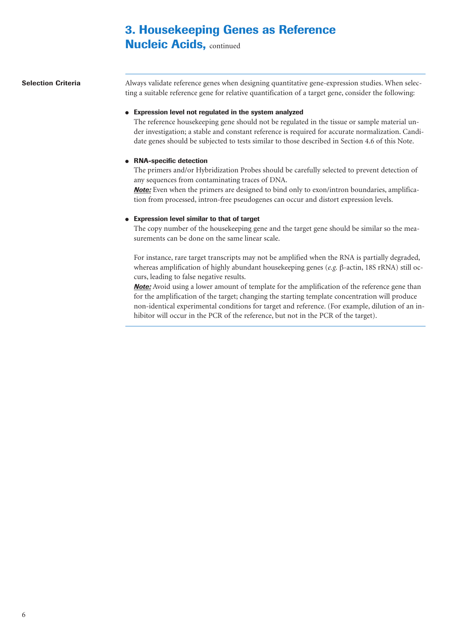# **3. Housekeeping Genes as Reference**

**Nucleic Acids, continued** 

**Selection Criteria**

Always validate reference genes when designing quantitative gene-expression studies. When selecting a suitable reference gene for relative quantification of a target gene, consider the following:

### ● **Expression level not regulated in the system analyzed**

The reference housekeeping gene should not be regulated in the tissue or sample material under investigation; a stable and constant reference is required for accurate normalization. Candidate genes should be subjected to tests similar to those described in Section 4.6 of this Note.

### ● **RNA-specific detection**

The primers and/or Hybridization Probes should be carefully selected to prevent detection of any sequences from contaminating traces of DNA.

*Note:* Even when the primers are designed to bind only to exon/intron boundaries, amplification from processed, intron-free pseudogenes can occur and distort expression levels.

### ● **Expression level similar to that of target**

The copy number of the housekeeping gene and the target gene should be similar so the measurements can be done on the same linear scale.

For instance, rare target transcripts may not be amplified when the RNA is partially degraded, whereas amplification of highly abundant housekeeping genes (*e.g.* β-actin, 18S rRNA) still occurs, leading to false negative results.

**Note:** Avoid using a lower amount of template for the amplification of the reference gene than for the amplification of the target; changing the starting template concentration will produce non-identical experimental conditions for target and reference. (For example, dilution of an inhibitor will occur in the PCR of the reference, but not in the PCR of the target).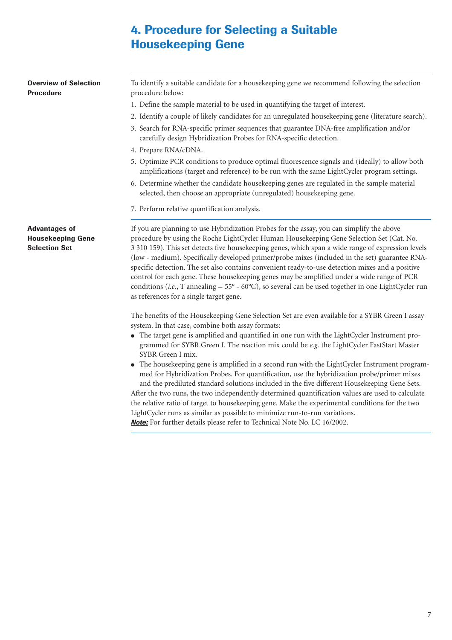## **4. Procedure for Selecting a Suitable Housekeeping Gene**

**Overview of Selection Procedure Advantages of Housekeeping Gene Selection Set** To identify a suitable candidate for a housekeeping gene we recommend following the selection procedure below: 1. Define the sample material to be used in quantifying the target of interest. 2. Identify a couple of likely candidates for an unregulated housekeeping gene (literature search). 3. Search for RNA-specific primer sequences that guarantee DNA-free amplification and/or carefully design Hybridization Probes for RNA-specific detection. 4. Prepare RNA/cDNA. 5. Optimize PCR conditions to produce optimal fluorescence signals and (ideally) to allow both amplifications (target and reference) to be run with the same LightCycler program settings. 6. Determine whether the candidate housekeeping genes are regulated in the sample material selected, then choose an appropriate (unregulated) housekeeping gene. 7. Perform relative quantification analysis. If you are planning to use Hybridization Probes for the assay, you can simplify the above procedure by using the Roche LightCycler Human Housekeeping Gene Selection Set (Cat. No.

3 310 159). This set detects five housekeeping genes, which span a wide range of expression levels (low - medium). Specifically developed primer/probe mixes (included in the set) guarantee RNAspecific detection. The set also contains convenient ready-to-use detection mixes and a positive control for each gene. These housekeeping genes may be amplified under a wide range of PCR conditions (*i.e.*, T annealing = 55° - 60°C), so several can be used together in one LightCycler run as references for a single target gene.

The benefits of the Housekeeping Gene Selection Set are even available for a SYBR Green I assay system. In that case, combine both assay formats:

- The target gene is amplified and quantified in one run with the LightCycler Instrument programmed for SYBR Green I. The reaction mix could be *e.g.* the LightCycler FastStart Master SYBR Green I mix.
- The housekeeping gene is amplified in a second run with the LightCycler Instrument programmed for Hybridization Probes. For quantification, use the hybridization probe/primer mixes and the prediluted standard solutions included in the five different Housekeeping Gene Sets.

After the two runs, the two independently determined quantification values are used to calculate the relative ratio of target to housekeeping gene. Make the experimental conditions for the two LightCycler runs as similar as possible to minimize run-to-run variations. *Note:* For further details please refer to Technical Note No. LC 16/2002.

7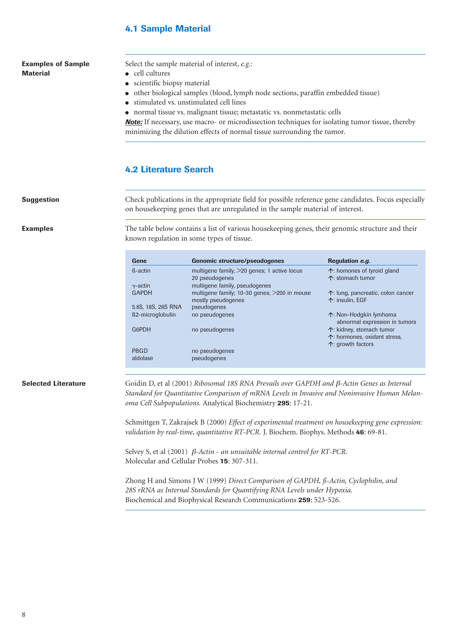## **4.1 Sample Material**

### **Examples of Sample Material**

Select the sample material of interest, *e.g.*:

- cell cultures
- scientific biopsy material
- other biological samples (blood, lymph node sections, paraffin embedded tissue)
- stimulated vs. unstimulated cell lines
- normal tissue vs. malignant tissue; metastatic vs. nonmetastatic cells

*Note:* If necessary, use macro- or microdissection techniques for isolating tumor tissue, thereby minimizing the dilution effects of normal tissue surrounding the tumor.

### **4.2 Literature Search**

**Suggestion**

**Examples**

Check publications in the appropriate field for possible reference gene candidates. Focus especially on housekeeping genes that are unregulated in the sample material of interest.

The table below contains a list of various housekeeping genes, their genomic structure and their known regulation in some types of tissue.

| Gene               | <b>Genomic structure/pseudogenes</b>                               | Regulation e.g.                                          |
|--------------------|--------------------------------------------------------------------|----------------------------------------------------------|
| ß-actin            | multigene family, $>20$ genes; 1 active locus<br>20 pseudogenes    | $\uparrow$ : homones of tyroid gland<br>个: stomach tumor |
| $\gamma$ -actin    | multigene family, pseudogenes                                      |                                                          |
| <b>GAPDH</b>       | multigene family; 10-30 genes; >200 in mouse<br>mostly pseudogenes | 个: lung, pancreatic, colon cancer<br>个: insulin. EGF     |
| 5.8S, 18S, 28S RNA | pseudogenes                                                        |                                                          |
| ß2-microglobulin   | no pseudogenes                                                     | 个: Non-Hodgkin lymhoma<br>abnormal expression in tumors  |
| <b>G6PDH</b>       | no pseudogenes                                                     | 个: kidney, stomach tumor<br>个: hormones, oxidant stress, |
| PBGD<br>aldolase   | no pseudogenes<br>pseudogenes                                      | 个: growth factors                                        |

#### **Selected Literature**

Goidin D, et al (2001) *Ribosomal 18S RNA Prevails over GAPDH and* β*-Actin Genes as Internal Standard for Quantitative Comparison of mRNA Levels in Invasive and Noninvasive Human Melanoma Cell Subpopulations.* Analytical Biochemistry **295**: 17-21.

Schmittgen T, Zakrajsek B (2000) *Effect of experimental treatment on housekeeping gene expression: validation by real-time, quantitative RT-PCR.* J. Biochem. Biophys. Methods **46**: 69-81.

Selvey S, et al (2001) β*-Actin - an unsuitable internal control for RT-PCR*. Molecular and Cellular Probes **15**: 307-311.

Zhong H and Simons J W (1999) *Direct Comparison of GAPDH, ß-Actin, Cyclophilin, and 28S rRNA as Internal Standards for Quantifying RNA Levels under Hypoxia.* Biochemical and Biophysical Research Communications **259**: 523-526.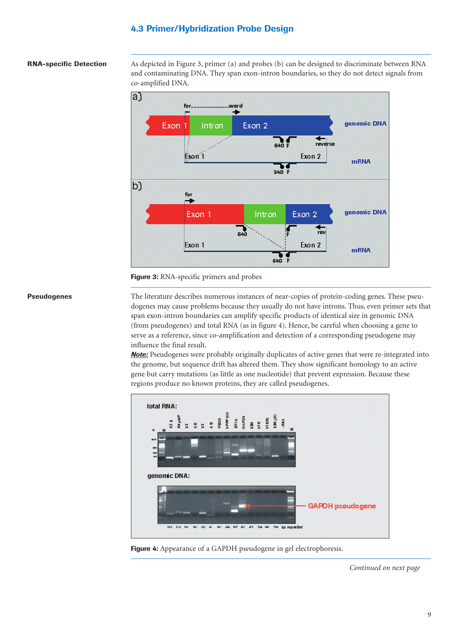## **4.3 Primer/Hybridization Probe Design**

#### **RNA-specific Detection**

As depicted in Figure 3, primer (a) and probes (b) can be designed to discriminate between RNA and contaminating DNA. They span exon-intron boundaries, so they do not detect signals from co-amplified DNA.



**Figure 3:** RNA-specific primers and probes

#### **Pseudogenes**

The literature describes numerous instances of near-copies of protein-coding genes. These pseudogenes may cause problems because they usually do not have introns. Thus, even primer sets that span exon-intron boundaries can amplify specific products of identical size in genomic DNA (from pseudogenes) and total RNA (as in figure 4). Hence, be careful when choosing a gene to serve as a reference, since co-amplification and detection of a corresponding pseudogene may influence the final result.

*Note:* Pseudogenes were probably originally duplicates of active genes that were re-integrated into the genome, but sequence drift has altered them. They show significant homology to an active gene but carry mutations (as little as one nucleotide) that prevent expression. Because these regions produce no known proteins, they are called pseudogenes.



**Figure 4:** Appearance of a GAPDH pseudogene in gel electrophoresis.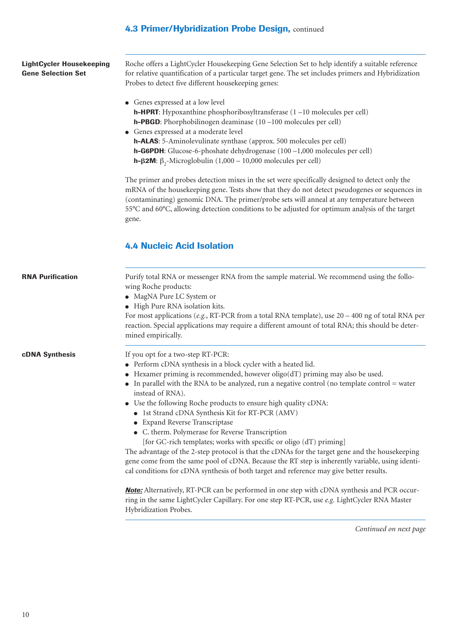## **4.3 Primer/Hybridization Probe Design, continued**

| LightCycler Housekeeping  |
|---------------------------|
| <b>Gene Selection Set</b> |

Roche offers a LightCycler Housekeeping Gene Selection Set to help identify a suitable reference for relative quantification of a particular target gene. The set includes primers and Hybridization Probes to detect five different housekeeping genes:

- Genes expressed at a low level **h-HPRT**: Hypoxanthine phosphoribosyltransferase (1 –10 molecules per cell) **h-PBGD**: Phorphobilinogen deaminase (10 –100 molecules per cell)
- Genes expressed at a moderate level **h-ALAS**: 5-Aminolevulinate synthase (approx. 500 molecules per cell) **h-G6PDH**: Glucose-6-phoshate dehydrogenase (100 –1,000 molecules per cell) **h-β2M**: β<sub>2</sub>-Microglobulin (1,000 – 10,000 molecules per cell)

The primer and probes detection mixes in the set were specifically designed to detect only the mRNA of the housekeeping gene. Tests show that they do not detect pseudogenes or sequences in (contaminating) genomic DNA. The primer/probe sets will anneal at any temperature between 55°C and 60°C, allowing detection conditions to be adjusted for optimum analysis of the target gene.

## **4.4 Nucleic Acid Isolation**

| <b>RNA Purification</b> | Purify total RNA or messenger RNA from the sample material. We recommend using the follo-<br>wing Roche products:<br>• MagNA Pure LC System or<br>• High Pure RNA isolation kits.<br>For most applications (e.g., RT-PCR from a total RNA template), use $20 - 400$ ng of total RNA per<br>reaction. Special applications may require a different amount of total RNA; this should be deter-<br>mined empirically.                                                                                                                                                                                                                                                                                                                                                                                                                                                                                    |
|-------------------------|-------------------------------------------------------------------------------------------------------------------------------------------------------------------------------------------------------------------------------------------------------------------------------------------------------------------------------------------------------------------------------------------------------------------------------------------------------------------------------------------------------------------------------------------------------------------------------------------------------------------------------------------------------------------------------------------------------------------------------------------------------------------------------------------------------------------------------------------------------------------------------------------------------|
| <b>cDNA Synthesis</b>   | If you opt for a two-step RT-PCR:<br>• Perform cDNA synthesis in a block cycler with a heated lid.<br>$\bullet$ Hexamer priming is recommended, however oligo(dT) priming may also be used.<br>• In parallel with the RNA to be analyzed, run a negative control (no template control = water<br>instead of RNA).<br>• Use the following Roche products to ensure high quality cDNA:<br>• 1st Strand cDNA Synthesis Kit for RT-PCR (AMV)<br>• Expand Reverse Transcriptase<br>• C. therm. Polymerase for Reverse Transcription<br>[for GC-rich templates; works with specific or oligo (dT) priming]<br>The advantage of the 2-step protocol is that the cDNAs for the target gene and the housekeeping<br>gene come from the same pool of cDNA. Because the RT step is inherently variable, using identi-<br>cal conditions for cDNA synthesis of both target and reference may give better results. |

*Note:* Alternatively, RT-PCR can be performed in one step with cDNA synthesis and PCR occurring in the same LightCycler Capillary. For one step RT-PCR, use *e.g.* LightCycler RNA Master Hybridization Probes.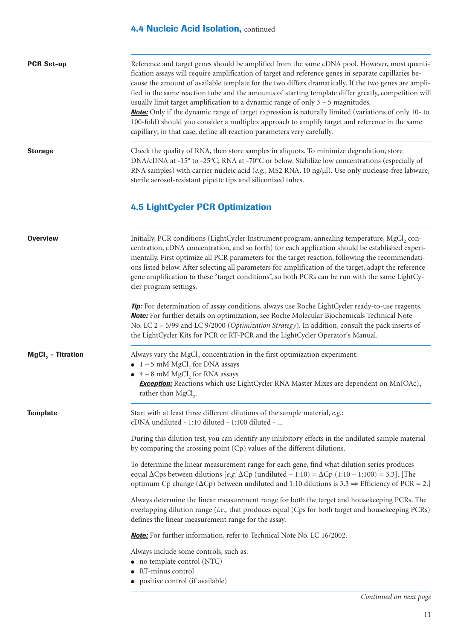## **4.4 Nucleic Acid Isolation, continued**

| <b>PCR Set-up</b>   | Reference and target genes should be amplified from the same cDNA pool. However, most quanti-<br>fication assays will require amplification of target and reference genes in separate capillaries be-<br>cause the amount of available template for the two differs dramatically. If the two genes are ampli-<br>fied in the same reaction tube and the amounts of starting template differ greatly, competition will<br>usually limit target amplification to a dynamic range of only $3 - 5$ magnitudes.<br><b>Note:</b> Only if the dynamic range of target expression is naturally limited (variations of only 10- to<br>100-fold) should you consider a multiplex approach to amplify target and reference in the same<br>capillary; in that case, define all reaction parameters very carefully. |
|---------------------|--------------------------------------------------------------------------------------------------------------------------------------------------------------------------------------------------------------------------------------------------------------------------------------------------------------------------------------------------------------------------------------------------------------------------------------------------------------------------------------------------------------------------------------------------------------------------------------------------------------------------------------------------------------------------------------------------------------------------------------------------------------------------------------------------------|
| <b>Storage</b>      | Check the quality of RNA, then store samples in aliquots. To minimize degradation, store<br>DNA/cDNA at -15° to -25°C; RNA at -70°C or below. Stabilize low concentrations (especially of<br>RNA samples) with carrier nucleic acid (e.g., MS2 RNA, 10 ng/ $\mu$ l). Use only nuclease-free labware,<br>sterile aerosol-resistant pipette tips and siliconized tubes.                                                                                                                                                                                                                                                                                                                                                                                                                                  |
|                     | <b>4.5 LightCycler PCR Optimization</b>                                                                                                                                                                                                                                                                                                                                                                                                                                                                                                                                                                                                                                                                                                                                                                |
| <b>Overview</b>     | Initially, PCR conditions (LightCycler Instrument program, annealing temperature, MgCl, con-<br>centration, cDNA concentration, and so forth) for each application should be established experi-<br>mentally. First optimize all PCR parameters for the target reaction, following the recommendati-<br>ons listed below. After selecting all parameters for amplification of the target, adapt the reference<br>gene amplification to these "target conditions", so both PCRs can be run with the same LightCy-<br>cler program settings.                                                                                                                                                                                                                                                             |
|                     | Tip: For determination of assay conditions, always use Roche LightCycler ready-to-use reagents.<br><b>Note:</b> For further details on optimization, see Roche Molecular Biochemicals Technical Note<br>No. LC 2 - 5/99 and LC 9/2000 (Optimization Strategy). In addition, consult the pack inserts of<br>the LightCycler Kits for PCR or RT-PCR and the LightCycler Operator's Manual.                                                                                                                                                                                                                                                                                                                                                                                                               |
| $MgCl2$ - Titration | Always vary the MgCl <sub>2</sub> concentration in the first optimization experiment:<br>$\bullet$ 1 – 5 mM MgCl <sub>2</sub> for DNA assays<br>$\bullet$ 4 – 8 mM MgCl <sub>2</sub> for RNA assays<br><b>Exception:</b> Reactions which use LightCycler RNA Master Mixes are dependent on Mn(OAc),<br>rather than MgCl <sub>2</sub> .                                                                                                                                                                                                                                                                                                                                                                                                                                                                 |
| <b>Template</b>     | Start with at least three different dilutions of the sample material, e.g.:<br>cDNA undiluted - 1:10 diluted - 1:100 diluted -                                                                                                                                                                                                                                                                                                                                                                                                                                                                                                                                                                                                                                                                         |
|                     | During this dilution test, you can identify any inhibitory effects in the undiluted sample material<br>by comparing the crossing point (Cp) values of the different dilutions.                                                                                                                                                                                                                                                                                                                                                                                                                                                                                                                                                                                                                         |
|                     | To determine the linear measurement range for each gene, find what dilution series produces<br>equal $\Delta C$ ps between dilutions [e.g. $\Delta C$ p (undiluted - 1:10) = $\Delta C$ p (1:10 - 1:100) = 3.3]. [The<br>optimum Cp change ( $\Delta$ Cp) between undiluted and 1:10 dilutions is 3.3 $\Rightarrow$ Efficiency of PCR = 2.]                                                                                                                                                                                                                                                                                                                                                                                                                                                            |
|                     | Always determine the linear measurement range for both the target and housekeeping PCRs. The<br>overlapping dilution range (i.e., that produces equal (Cps for both target and housekeeping PCRs)<br>defines the linear measurement range for the assay.                                                                                                                                                                                                                                                                                                                                                                                                                                                                                                                                               |
|                     | <b>Note:</b> For further information, refer to Technical Note No. LC 16/2002.                                                                                                                                                                                                                                                                                                                                                                                                                                                                                                                                                                                                                                                                                                                          |
|                     | Always include some controls, such as:<br>• no template control (NTC)<br>RT-minus control<br>· positive control (if available)                                                                                                                                                                                                                                                                                                                                                                                                                                                                                                                                                                                                                                                                         |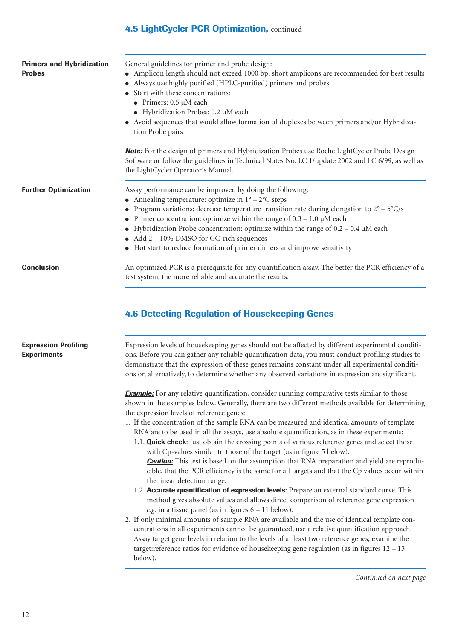## **4.5 LightCycler PCR Optimization,** continued

| <b>Primers and Hybridization</b><br><b>Probes</b> | General guidelines for primer and probe design:<br>• Amplicon length should not exceed 1000 bp; short amplicons are recommended for best results<br>Always use highly purified (HPLC-purified) primers and probes<br>Start with these concentrations:<br>• Primers: $0.5 \mu M$ each<br>• Hybridization Probes: $0.2 \mu M$ each<br>Avoid sequences that would allow formation of duplexes between primers and/or Hybridiza-<br>tion Probe pairs<br><b>Note:</b> For the design of primers and Hybridization Probes use Roche LightCycler Probe Design                                                                                                                                                                                                                                                                                                              |
|---------------------------------------------------|---------------------------------------------------------------------------------------------------------------------------------------------------------------------------------------------------------------------------------------------------------------------------------------------------------------------------------------------------------------------------------------------------------------------------------------------------------------------------------------------------------------------------------------------------------------------------------------------------------------------------------------------------------------------------------------------------------------------------------------------------------------------------------------------------------------------------------------------------------------------|
|                                                   | Software or follow the guidelines in Technical Notes No. LC 1/update 2002 and LC 6/99, as well as<br>the LightCycler Operator's Manual.                                                                                                                                                                                                                                                                                                                                                                                                                                                                                                                                                                                                                                                                                                                             |
| <b>Further Optimization</b>                       | Assay performance can be improved by doing the following:<br>• Annealing temperature: optimize in $1^{\circ} - 2^{\circ}C$ steps<br>Program variations: decrease temperature transition rate during elongation to $2^{\circ} - 5^{\circ}C/s$<br>Primer concentration: optimize within the range of $0.3 - 1.0 \mu M$ each<br>Hybridization Probe concentration: optimize within the range of $0.2 - 0.4 \mu M$ each<br>Add 2 – 10% DMSO for GC-rich sequences                                                                                                                                                                                                                                                                                                                                                                                                       |
| <b>Conclusion</b>                                 | Hot start to reduce formation of primer dimers and improve sensitivity<br>An optimized PCR is a prerequisite for any quantification assay. The better the PCR efficiency of a                                                                                                                                                                                                                                                                                                                                                                                                                                                                                                                                                                                                                                                                                       |
|                                                   | <b>4.6 Detecting Regulation of Housekeeping Genes</b>                                                                                                                                                                                                                                                                                                                                                                                                                                                                                                                                                                                                                                                                                                                                                                                                               |
| <b>Expression Profiling</b><br><b>Experiments</b> | Expression levels of housekeeping genes should not be affected by different experimental conditi-<br>ons. Before you can gather any reliable quantification data, you must conduct profiling studies to<br>demonstrate that the expression of these genes remains constant under all experimental conditi-<br>ons or, alternatively, to determine whether any observed variations in expression are significant.                                                                                                                                                                                                                                                                                                                                                                                                                                                    |
|                                                   | <b>Example:</b> For any relative quantification, consider running comparative tests similar to those<br>shown in the examples below. Generally, there are two different methods available for determining<br>the expression levels of reference genes:<br>1. If the concentration of the sample RNA can be measured and identical amounts of template<br>RNA are to be used in all the assays, use absolute quantification, as in these experiments:<br>1.1. Quick check: Just obtain the crossing points of various reference genes and select those<br>with Cp-values similar to those of the target (as in figure 5 below).<br><b>Caution:</b> This test is based on the assumption that RNA preparation and yield are reprodu-<br>cible, that the PCR efficiency is the same for all targets and that the Cp values occur within<br>the linear detection range. |
|                                                   | 1.2. Accurate quantification of expression levels: Prepare an external standard curve. This<br>method gives absolute values and allows direct comparison of reference gene expression<br>e.g. in a tissue panel (as in figures $6 - 11$ below).<br>2. If only minimal amounts of sample RNA are available and the use of identical template con-<br>centrations in all experiments cannot be guaranteed, use a relative quantification approach.<br>Assay target gene levels in relation to the levels of at least two reference genes; examine the<br>target: reference ratios for evidence of housekeeping gene regulation (as in figures $12 - 13$<br>below).                                                                                                                                                                                                    |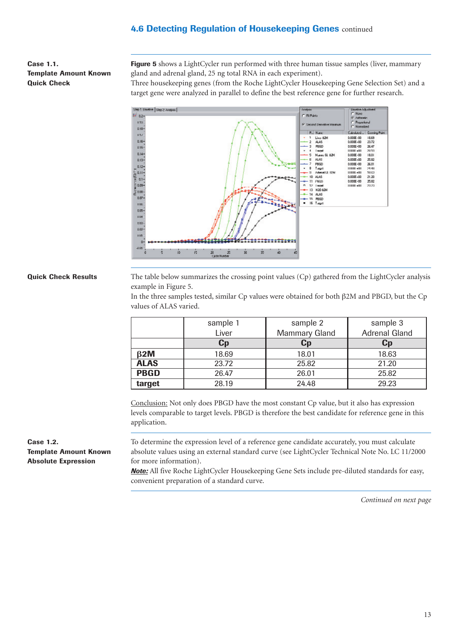**Case 1.1. Template Amount Known Quick Check** 

Figure 5 shows a LightCycler run performed with three human tissue samples (liver, mammary gland and adrenal gland, 25 ng total RNA in each experiment).

Three housekeeping genes (from the Roche LightCycler Housekeeping Gene Selection Set) and a target gene were analyzed in parallel to define the best reference gene for further research.



#### **Quick Check Results**

The table below summarizes the crossing point values (Cp) gathered from the LightCycler analysis example in Figure 5.

In the three samples tested, similar Cp values were obtained for both β2M and PBGD, but the Cp values of ALAS varied.

|             | sample 1 | sample 2             | sample 3             |
|-------------|----------|----------------------|----------------------|
|             | Liver    | <b>Mammary Gland</b> | <b>Adrenal Gland</b> |
|             | $C_{p}$  | Cp                   | Cp                   |
| $\beta$ 2M  | 18.69    | 18.01                | 18.63                |
| <b>ALAS</b> | 23.72    | 25.82                | 21.20                |
| <b>PBGD</b> | 26.47    | 26.01                | 25.82                |
| target      | 28.19    | 24.48                | 29.23                |

Conclusion: Not only does PBGD have the most constant Cp value, but it also has expression levels comparable to target levels. PBGD is therefore the best candidate for reference gene in this application.

To determine the expression level of a reference gene candidate accurately, you must calculate absolute values using an external standard curve (see LightCycler Technical Note No. LC 11/2000 for more information).

*Note:* All five Roche LightCycler Housekeeping Gene Sets include pre-diluted standards for easy, convenient preparation of a standard curve.

*Continued on next page*

**Case 1.2. Template Amount Known Absolute Expression**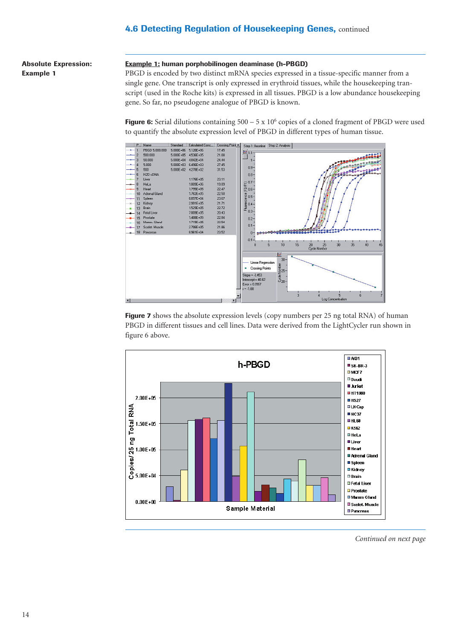**Absolute Expression: Example 1**

#### **Example 1: human porphobilinogen deaminase (h-PBGD)**

PBGD is encoded by two distinct mRNA species expressed in a tissue-specific manner from a single gene. One transcript is only expressed in erythroid tissues, while the housekeeping transcript (used in the Roche kits) is expressed in all tissues. PBGD is a low abundance housekeeping gene. So far, no pseudogene analogue of PBGD is known.

**Figure 6:** Serial dilutions containing 500 – 5 x 10<sup>6</sup> copies of a cloned fragment of PBGD were used to quantify the absolute expression level of PBGD in different types of human tissue.



**Figure 7** shows the absolute expression levels (copy numbers per 25 ng total RNA) of human PBGD in different tissues and cell lines. Data were derived from the LightCycler run shown in figure 6 above.

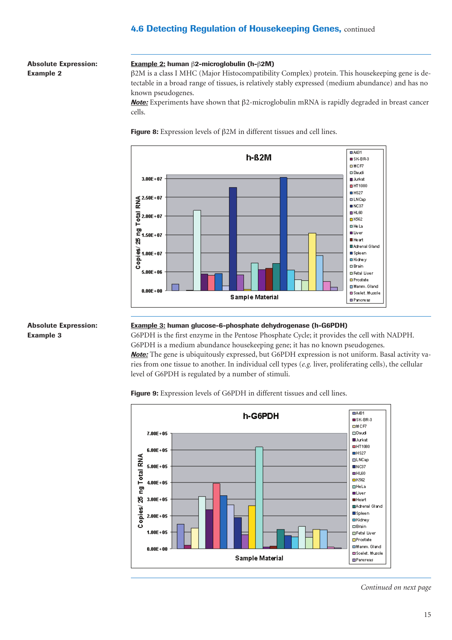**Absolute Expression: Example 2**

#### **Example 2: human** β**2-microglobulin (h-**β**2M)**

β2M is a class I MHC (Major Histocompatibility Complex) protein. This housekeeping gene is detectable in a broad range of tissues, is relatively stably expressed (medium abundance) and has no known pseudogenes.

*Note:* Experiments have shown that β2-microglobulin mRNA is rapidly degraded in breast cancer cells.

**Figure 8:** Expression levels of β2M in different tissues and cell lines.



#### **Absolute Expression: Example 3**

#### **Example 3: human glucose-6-phosphate dehydrogenase (h-G6PDH)**

G6PDH is the first enzyme in the Pentose Phosphate Cycle; it provides the cell with NADPH. G6PDH is a medium abundance housekeeping gene; it has no known pseudogenes. *Note:* The gene is ubiquitously expressed, but G6PDH expression is not uniform. Basal activity varies from one tissue to another. In individual cell types (*e.g.* liver, proliferating cells), the cellular level of G6PDH is regulated by a number of stimuli.

**Figure 9:** Expression levels of G6PDH in different tissues and cell lines.

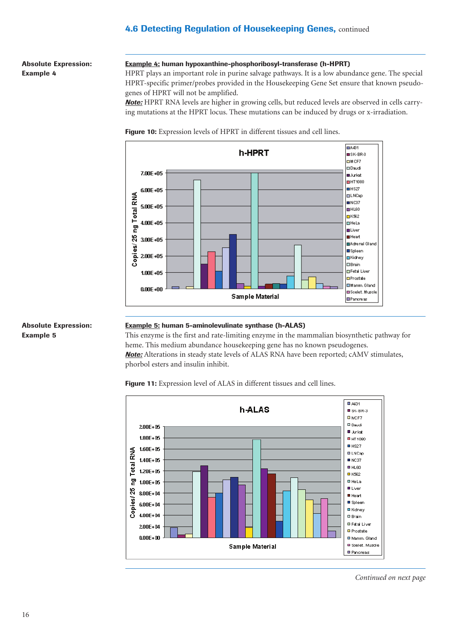**Absolute Expression: Example 4**

#### **Example 4: human hypoxanthine-phosphoribosyl-transferase (h-HPRT)**

HPRT plays an important role in purine salvage pathways. It is a low abundance gene. The special HPRT-specific primer/probes provided in the Housekeeping Gene Set ensure that known pseudogenes of HPRT will not be amplified.

*Note:* HPRT RNA levels are higher in growing cells, but reduced levels are observed in cells carrying mutations at the HPRT locus. These mutations can be induced by drugs or x-irradiation.

**Figure 10:** Expression levels of HPRT in different tissues and cell lines.



#### **Absolute Expression: Example 5**

### **Example 5: human 5-aminolevulinate synthase (h-ALAS)**

This enzyme is the first and rate-limiting enzyme in the mammalian biosynthetic pathway for heme. This medium abundance housekeeping gene has no known pseudogenes. *Note:* Alterations in steady state levels of ALAS RNA have been reported; cAMV stimulates, phorbol esters and insulin inhibit.

 $\overline{B}$  A431 h-ALAS  $\blacksquare$  SK-BR-3  $D$  MCF7 **D** Daudi 200E+05 **U** Jurkab  $1.80E + 05$ **D** HT 1080  $H$  HS27  $1.60E + 05$ ng Total RNA **OLNCap**  $1.40E + 05$  $NCS7$  $\blacksquare$  HL60  $1.20E + 0.5$  $E$  K562 **D** Hella  $1.00E + 05$ **O** Liver Copies/25 8.00E+04 **III** Heart ■ Spleen 6.00E+04 ■ Kidney 4.00E+04 **O** Brain **DiFatal Liver** 2.00E+04 **O** Prostate  $0.00E + 00$ **D** Mamm. Gland **D** Scelet, Muscle Sample Material **O** Pancreas

Figure 11: Expression level of ALAS in different tissues and cell lines.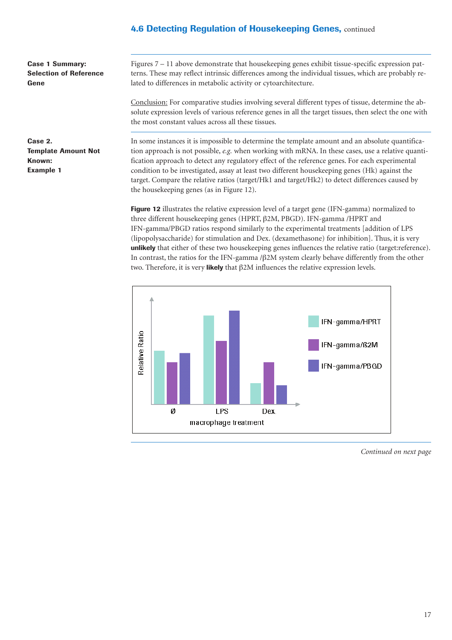**Case 1 Summary: Selection of Reference Gene** 

Figures 7 – 11 above demonstrate that housekeeping genes exhibit tissue-specific expression patterns. These may reflect intrinsic differences among the individual tissues, which are probably related to differences in metabolic activity or cytoarchitecture.

Conclusion: For comparative studies involving several different types of tissue, determine the absolute expression levels of various reference genes in all the target tissues, then select the one with the most constant values across all these tissues.

**Case 2. Template Amount Not Known: Example 1**

In some instances it is impossible to determine the template amount and an absolute quantification approach is not possible, *e.g.* when working with mRNA. In these cases, use a relative quantification approach to detect any regulatory effect of the reference genes. For each experimental condition to be investigated, assay at least two different housekeeping genes (Hk) against the target. Compare the relative ratios (target/Hk1 and target/Hk2) to detect differences caused by the housekeeping genes (as in Figure 12).

**Figure 12** illustrates the relative expression level of a target gene (IFN-gamma) normalized to three different housekeeping genes (HPRT, β2M, PBGD). IFN-gamma /HPRT and IFN-gamma/PBGD ratios respond similarly to the experimental treatments [addition of LPS (lipopolysaccharide) for stimulation and Dex. (dexamethasone) for inhibition]. Thus, it is very **unlikely** that either of these two housekeeping genes influences the relative ratio (target:reference). In contrast, the ratios for the IFN-gamma /β2M system clearly behave differently from the other two. Therefore, it is very **likely** that β2M influences the relative expression levels.

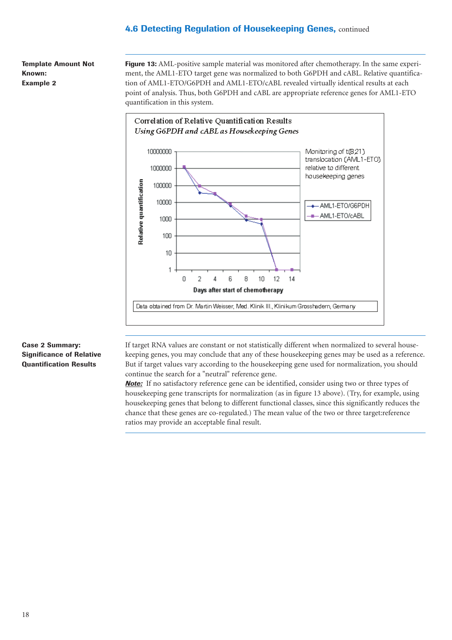**Template Amount Not Known: Example 2**

**Figure 13:** AML-positive sample material was monitored after chemotherapy. In the same experiment, the AML1-ETO target gene was normalized to both G6PDH and cABL. Relative quantification of AML1-ETO/G6PDH and AML1-ETO/cABL revealed virtually identical results at each point of analysis. Thus, both G6PDH and cABL are appropriate reference genes for AML1-ETO quantification in this system.



### **Case 2 Summary: Significance of Relative Quantification Results**

If target RNA values are constant or not statistically different when normalized to several housekeeping genes, you may conclude that any of these housekeeping genes may be used as a reference. But if target values vary according to the housekeeping gene used for normalization, you should continue the search for a "neutral" reference gene.

*Note:* If no satisfactory reference gene can be identified, consider using two or three types of housekeeping gene transcripts for normalization (as in figure 13 above). (Try, for example, using housekeeping genes that belong to different functional classes, since this significantly reduces the chance that these genes are co-regulated.) The mean value of the two or three target:reference ratios may provide an acceptable final result.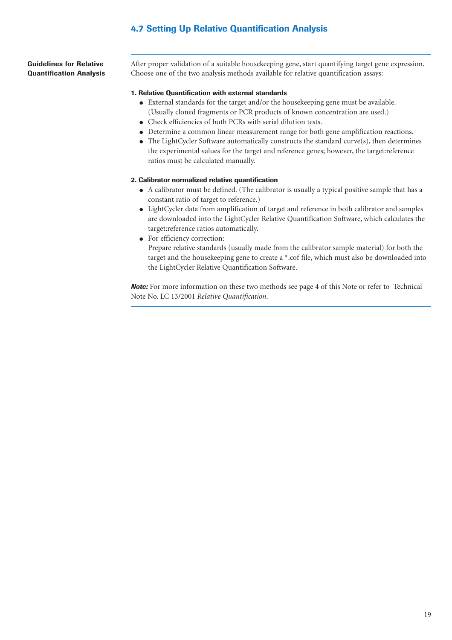## **4.7 Setting Up Relative Quantification Analysis**

**Guidelines for Relative Quantification Analysis** After proper validation of a suitable housekeeping gene, start quantifying target gene expression. Choose one of the two analysis methods available for relative quantification assays:

#### **1. Relative Quantification with external standards**

- External standards for the target and/or the housekeeping gene must be available. (Usually cloned fragments or PCR products of known concentration are used.)
- Check efficiencies of both PCRs with serial dilution tests.
- Determine a common linear measurement range for both gene amplification reactions.
- The LightCycler Software automatically constructs the standard curve(s), then determines the experimental values for the target and reference genes; however, the target:reference ratios must be calculated manually.

### **2. Calibrator normalized relative quantification**

- A calibrator must be defined. (The calibrator is usually a typical positive sample that has a constant ratio of target to reference.)
- LightCycler data from amplification of target and reference in both calibrator and samples are downloaded into the LightCycler Relative Quantification Software, which calculates the target:reference ratios automatically.
- For efficiency correction:

Prepare relative standards (usually made from the calibrator sample material) for both the target and the housekeeping gene to create a \*.cof file, which must also be downloaded into the LightCycler Relative Quantification Software.

**Note:** For more information on these two methods see page 4 of this Note or refer to Technical Note No. LC 13/2001 *Relative Quantification*.